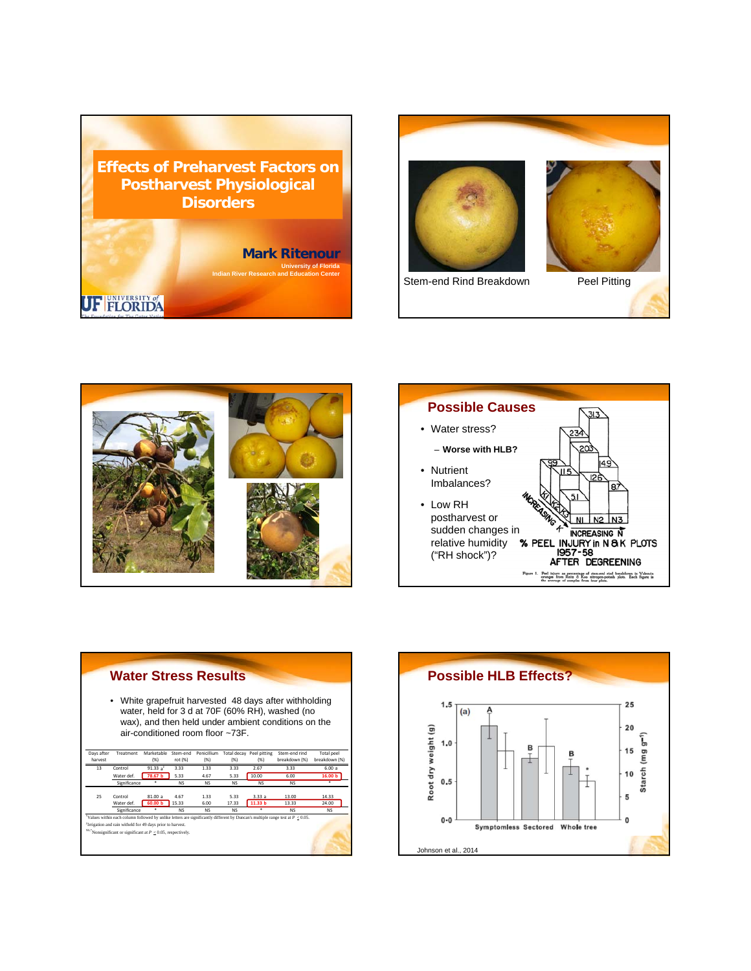









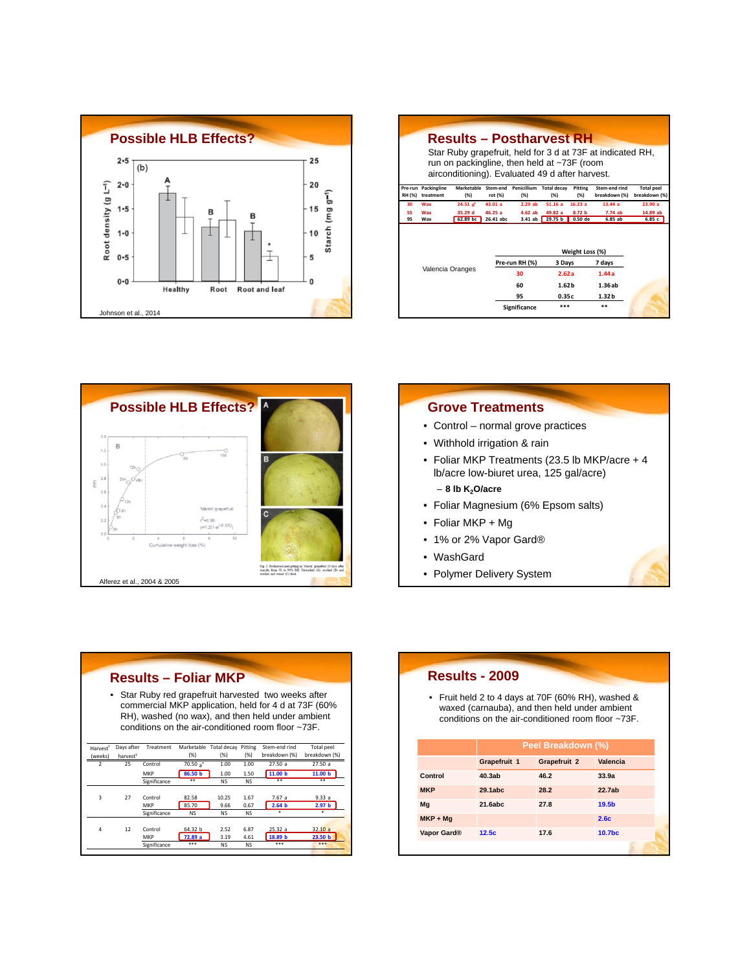

|               |                                  | <b>Results – Postharvest RH</b>                                                                      |                     |                     |                            |                 |                                                            |                                    |
|---------------|----------------------------------|------------------------------------------------------------------------------------------------------|---------------------|---------------------|----------------------------|-----------------|------------------------------------------------------------|------------------------------------|
|               |                                  | run on packingline, then held at $\sim$ 73F (room<br>airconditioning). Evaluated 49 d after harvest. |                     |                     |                            |                 | Star Ruby grapefruit, held for 3 d at 73F at indicated RH, |                                    |
| <b>RH (%)</b> | Pre-run Packingline<br>treatment | Marketable<br>(% )                                                                                   | Stem-end<br>rot (%) | Penicillium<br>(% ) | <b>Total decav</b><br>(% ) | Pitting<br>(% ) | Stem-end rind<br>breakdown (%)                             | <b>Total peel</b><br>breakdown (%) |
| 30            | Wax                              | 24.51 $d^2$                                                                                          | 43.01 a             | 2.29ab              | 51.16a                     | 16.23a          | 13.44a                                                     | 23.90a                             |
| 55            | Wax                              | 35.29 d                                                                                              | 46.25a              | $4.62$ ab           | 49.82a                     | 8.72 h          | 7.74ab                                                     | 14.89 ab                           |
| 95            | Wax                              | 62.89 bc                                                                                             | 26.41 abc           | 3.41ab              | 29.75 <sub>b</sub>         | $0.50$ de       | 6.85ab                                                     | 6.85c                              |
|               |                                  |                                                                                                      |                     |                     |                            | Weight Loss (%) |                                                            |                                    |
|               |                                  |                                                                                                      |                     | Pre-run RH (%)      | 3 Days                     |                 | 7 days                                                     |                                    |
|               | Valencia Oranges                 |                                                                                                      |                     | 30                  | 2.62a                      |                 | 1.44a                                                      |                                    |
|               |                                  |                                                                                                      |                     | 60                  | 1.62 <sub>b</sub>          |                 | 1.36ab                                                     |                                    |
|               |                                  |                                                                                                      |                     | 95                  | 0.35c                      |                 | 1.32 <sub>b</sub>                                          |                                    |
|               |                                  |                                                                                                      |                     | Significance        | ***                        |                 | $* *$                                                      |                                    |



## **Grove Treatments**

- Control normal grove practices
- Withhold irrigation & rain
- Foliar MKP Treatments (23.5 lb MKP/acre + 4 lb/acre low-biuret urea, 125 gal/acre) – **8 lb K2O/acre**
- Foliar Magnesium (6% Epsom salts)
- Foliar MKP + Mg
- 1% or 2% Vapor Gard®
- WashGard
- Polymer Delivery System

|                         |            | <b>Results - Foliar MKP</b>    |                             |                                |                           |                                                                                                                                                                                                                                   |                                       |
|-------------------------|------------|--------------------------------|-----------------------------|--------------------------------|---------------------------|-----------------------------------------------------------------------------------------------------------------------------------------------------------------------------------------------------------------------------------|---------------------------------------|
|                         |            |                                |                             |                                |                           | • Star Ruby red grapefruit harvested two weeks after<br>commercial MKP application, held for 4 d at 73F (60%<br>RH), washed (no wax), and then held under ambient<br>conditions on the air-conditioned room floor $\approx 73$ F. |                                       |
| Harvest <sup>z</sup>    | Days after | Treatment                      |                             | Marketable Total decay Pitting |                           | Stem-end rind                                                                                                                                                                                                                     | <b>Total peel</b>                     |
| (weeks)                 | harvest    |                                | (% )                        | (% )                           | (96)                      | breakdown (%)                                                                                                                                                                                                                     | breakdown (%)                         |
| 2                       | 25         | Control                        | $70.50a^*$                  | 1.00                           | 1.00                      | 27.50a                                                                                                                                                                                                                            | 27.50a                                |
|                         |            | MKP                            | 86.50 b                     | 1.00                           | 1.50                      | 11.00 b                                                                                                                                                                                                                           | 11.00 <sub>b</sub>                    |
|                         |            | Significance                   | **                          | <b>NS</b>                      | <b>NS</b>                 | 東東                                                                                                                                                                                                                                | 東東                                    |
| $\overline{\mathbf{3}}$ | 27         | Control<br>MKP<br>Significance | 82.58<br>85.70<br><b>NS</b> | 10.25<br>9.66<br><b>NS</b>     | 1.67<br>0.67<br><b>NS</b> | 7.67 a<br>2.64 <sub>b</sub><br>×                                                                                                                                                                                                  | 9.33a<br>2.97 <sub>b</sub><br>$\star$ |
| 4                       | 12         | Control<br>MKP<br>Significance | 64.32 b<br>72.89 a<br>***   | 2.52<br>3.19<br><b>NS</b>      | 6.87<br>4.61<br><b>NS</b> | 25.32a<br>18.89 b<br>***                                                                                                                                                                                                          | 32,10a<br>23.50 <sub>b</sub><br>***   |

| <b>Results - 2009</b>   |                    |                                                                                                                                                                 |                    |  |  |
|-------------------------|--------------------|-----------------------------------------------------------------------------------------------------------------------------------------------------------------|--------------------|--|--|
|                         |                    | • Fruit held 2 to 4 days at 70F (60% RH), washed &<br>waxed (carnauba), and then held under ambient<br>conditions on the air-conditioned room floor $\sim73$ F. |                    |  |  |
|                         | Peel Breakdown (%) |                                                                                                                                                                 |                    |  |  |
|                         | Grapefruit 1       | Grapefruit 2                                                                                                                                                    | Valencia           |  |  |
| Control                 | 40.3ab             | 46.2                                                                                                                                                            | 33.9a              |  |  |
| <b>MKP</b>              | 29.1abc            | 28.2                                                                                                                                                            | 22.7ab             |  |  |
| Mg                      | 21.6abc            | 27.8                                                                                                                                                            | 19.5 <sub>b</sub>  |  |  |
| $MKP + Mg$              |                    |                                                                                                                                                                 | 2.6 <sub>c</sub>   |  |  |
| Vapor Gard <sup>®</sup> | 12.5c              | 17.6                                                                                                                                                            | 10.7 <sub>bc</sub> |  |  |
|                         |                    |                                                                                                                                                                 |                    |  |  |